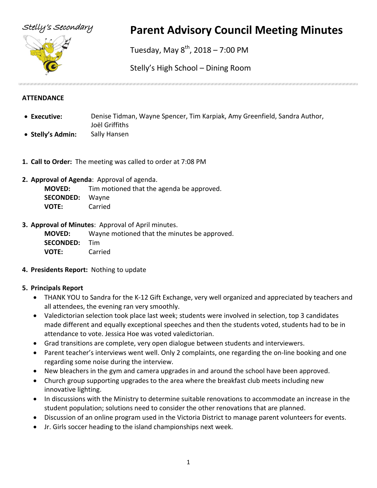



# Stelly's Secondary **Parent Advisory Council Meeting Minutes**

Tuesday, May  $8^{th}$ , 2018 – 7:00 PM

Stelly's High School – Dining Room

#### **ATTENDANCE**

- **Executive:** Denise Tidman, Wayne Spencer, Tim Karpiak, Amy Greenfield, Sandra Author, Joël Griffiths
- **Stelly's Admin:** Sally Hansen
- **1. Call to Order:** The meeting was called to order at 7:08 PM
- **2. Approval of Agenda**: Approval of agenda.

**MOVED:** Tim motioned that the agenda be approved. **SECONDED:** Wayne **VOTE:** Carried

**3. Approval of Minutes**: Approval of April minutes.

**MOVED:** Wayne motioned that the minutes be approved. **SECONDED:** Tim **VOTE:** Carried

**4. Presidents Report:** Nothing to update

## **5. Principals Report**

- THANK YOU to Sandra for the K-12 Gift Exchange, very well organized and appreciated by teachers and all attendees, the evening ran very smoothly.
- Valedictorian selection took place last week; students were involved in selection, top 3 candidates made different and equally exceptional speeches and then the students voted, students had to be in attendance to vote. Jessica Hoe was voted valedictorian.
- Grad transitions are complete, very open dialogue between students and interviewers.
- Parent teacher's interviews went well. Only 2 complaints, one regarding the on-line booking and one regarding some noise during the interview.
- New bleachers in the gym and camera upgrades in and around the school have been approved.
- Church group supporting upgrades to the area where the breakfast club meets including new innovative lighting.
- In discussions with the Ministry to determine suitable renovations to accommodate an increase in the student population; solutions need to consider the other renovations that are planned.
- Discussion of an online program used in the Victoria District to manage parent volunteers for events.
- Jr. Girls soccer heading to the island championships next week.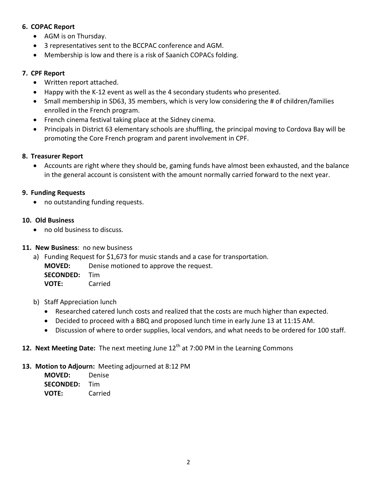#### **6. COPAC Report**

- AGM is on Thursday.
- 3 representatives sent to the BCCPAC conference and AGM.
- Membership is low and there is a risk of Saanich COPACs folding.

### **7. CPF Report**

- Written report attached.
- Happy with the K-12 event as well as the 4 secondary students who presented.
- Small membership in SD63, 35 members, which is very low considering the # of children/families enrolled in the French program.
- French cinema festival taking place at the Sidney cinema.
- Principals in District 63 elementary schools are shuffling, the principal moving to Cordova Bay will be promoting the Core French program and parent involvement in CPF.

#### **8. Treasurer Report**

• Accounts are right where they should be, gaming funds have almost been exhausted, and the balance in the general account is consistent with the amount normally carried forward to the next year.

#### **9. Funding Requests**

• no outstanding funding requests.

#### **10. Old Business**

• no old business to discuss.

#### **11. New Business**: no new business

- a) Funding Request for \$1,673 for music stands and a case for transportation. **MOVED:** Denise motioned to approve the request. **SECONDED:** Tim **VOTE:** Carried
- b) Staff Appreciation lunch
	- Researched catered lunch costs and realized that the costs are much higher than expected.
	- Decided to proceed with a BBQ and proposed lunch time in early June 13 at 11:15 AM.
	- Discussion of where to order supplies, local vendors, and what needs to be ordered for 100 staff.

# 12. Next Meeting Date: The next meeting June 12<sup>th</sup> at 7:00 PM in the Learning Commons

#### **13. Motion to Adjourn:** Meeting adjourned at 8:12 PM

| <b>MOVED:</b>    | Denise  |
|------------------|---------|
| <b>SECONDED:</b> | Tim     |
| <b>VOTE:</b>     | Carried |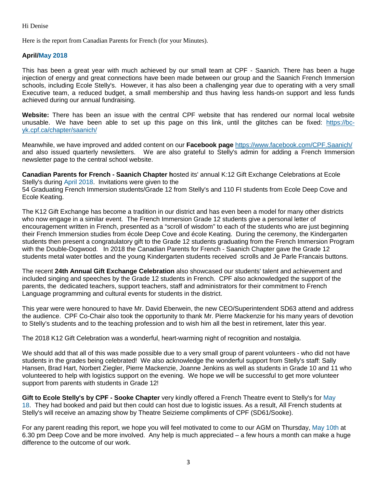#### Hi Denise

Here is the report from Canadian Parents for French (for your Minutes).

#### **April/May 2018**

This has been a great year with much achieved by our small team at CPF - Saanich. There has been a huge injection of energy and great connections have been made between our group and the Saanich French Immersion schools, including Ecole Stelly's. However, it has also been a challenging year due to operating with a very small Executive team, a reduced budget, a small membership and thus having less hands-on support and less funds achieved during our annual fundraising.

**Website:** There has been an issue with the central CPF website that has rendered our normal local website unusable. We have been able to set up this page on this link, until the glitches can be fixed: [https://bc](https://bc-yk.cpf.ca/chapter/saanich/)[yk.cpf.ca/chapter/saanich/](https://bc-yk.cpf.ca/chapter/saanich/)

Meanwhile, we have improved and added content on our **Facebook page** <https://www.facebook.com/CPF.Saanich/> and also issued quarterly newsletters. We are also grateful to Stelly's admin for adding a French Immersion newsletter page to the central school website.

**Canadian Parents for French - Saanich Chapter h**osted its' annual K:12 Gift Exchange Celebrations at Ecole Stelly's during April 2018. Invitations were given to the 54 Graduating French Immersion students/Grade 12 from Stelly's and 110 FI students from Ecole Deep Cove and Ecole Keating.

The K12 Gift Exchange has become a tradition in our district and has even been a model for many other districts who now engage in a similar event. The French Immersion Grade 12 students give a personal letter of encouragement written in French, presented as a "scroll of wisdom" to each of the students who are just beginning their French Immersion studies from école Deep Cove and école Keating. During the ceremony, the Kindergarten students then present a congratulatory gift to the Grade 12 students graduating from the French Immersion Program with the Double-Dogwood. In 2018 the Canadian Parents for French - Saanich Chapter gave the Grade 12 students metal water bottles and the young Kindergarten students received scrolls and Je Parle Francais buttons.

The recent **24th Annual Gift Exchange Celebration** also showcased our students' talent and achievement and included singing and speeches by the Grade 12 students in French. CPF also acknowledged the support of the parents, the dedicated teachers, support teachers, staff and administrators for their commitment to French Language programming and cultural events for students in the district.

This year were were honoured to have Mr. David Eberwein, the new CEO/Superintendent SD63 attend and address the audience. CPF Co-Chair also took the opportunity to thank Mr. Pierre Mackenzie for his many years of devotion to Stelly's students and to the teaching profession and to wish him all the best in retirement, later this year.

The 2018 K12 Gift Celebration was a wonderful, heart-warming night of recognition and nostalgia.

We should add that all of this was made possible due to a very small group of parent volunteers - who did not have students in the grades being celebrated! We also acknowledge the wonderful support from Stelly's staff: Sally Hansen, Brad Hart, Norbert Ziegler, Pierre Mackenzie, Joanne Jenkins as well as students in Grade 10 and 11 who volunteered to help with logistics support on the evening. We hope we will be successful to get more volunteer support from parents with students in Grade 12!

**Gift to Ecole Stelly's by CPF - Sooke Chapter** very kindly offered a French Theatre event to Stelly's for May 18. They had booked and paid but then could can host due to logistic issues. As a result, All French students at Stelly's will receive an amazing show by Theatre Seizieme compliments of CPF (SD61/Sooke).

For any parent reading this report, we hope you will feel motivated to come to our AGM on Thursday, May 10th at 6.30 pm Deep Cove and be more involved. Any help is much appreciated – a few hours a month can make a huge difference to the outcome of our work.